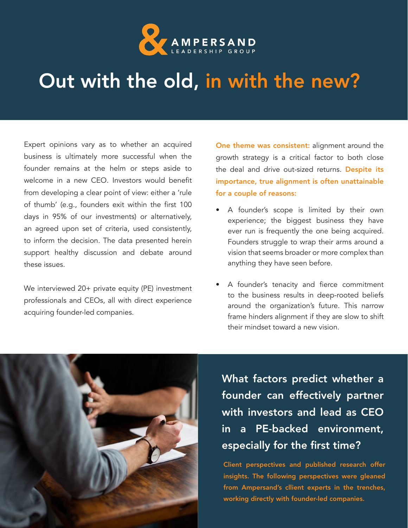

## Out with the old, in with the new?

Expert opinions vary as to whether an acquired business is ultimately more successful when the founder remains at the helm or steps aside to welcome in a new CEO. Investors would benefit from developing a clear point of view: either a 'rule of thumb' (e.g., founders exit within the first 100 days in 95% of our investments) or alternatively, an agreed upon set of criteria, used consistently, to inform the decision. The data presented herein support healthy discussion and debate around these issues.

We interviewed 20+ private equity (PE) investment professionals and CEOs, all with direct experience acquiring founder-led companies.

One theme was consistent: alignment around the growth strategy is a critical factor to both close the deal and drive out-sized returns. Despite its importance, true alignment is often unattainable for a couple of reasons:

- A founder's scope is limited by their own experience; the biggest business they have ever run is frequently the one being acquired. Founders struggle to wrap their arms around a vision that seems broader or more complex than anything they have seen before.
- A founder's tenacity and fierce commitment to the business results in deep-rooted beliefs around the organization's future. This narrow frame hinders alignment if they are slow to shift their mindset toward a new vision.



What factors predict whether a founder can effectively partner with investors and lead as CEO in a PE-backed environment, especially for the first time?

Client perspectives and published research offer insights. The following perspectives were gleaned from Ampersand's cllient experts in the trenches, working directly with founder-led companies.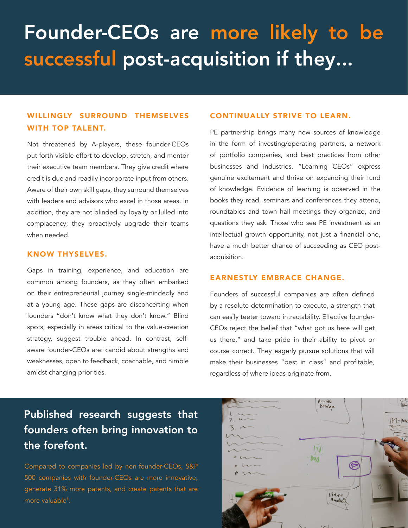# Founder-CEOs are more likely to be successful post-acquisition if they...

#### WILLINGLY SURROUND THEMSELVES WITH TOP TALENT.

Not threatened by A-players, these founder-CEOs put forth visible effort to develop, stretch, and mentor their executive team members. They give credit where credit is due and readily incorporate input from others. Aware of their own skill gaps, they surround themselves with leaders and advisors who excel in those areas. In addition, they are not blinded by loyalty or lulled into complacency; they proactively upgrade their teams when needed.

#### KNOW THYSELVES.

Gaps in training, experience, and education are common among founders, as they often embarked on their entrepreneurial journey single-mindedly and at a young age. These gaps are disconcerting when founders "don't know what they don't know." Blind spots, especially in areas critical to the value-creation strategy, suggest trouble ahead. In contrast, selfaware founder-CEOs are: candid about strengths and weaknesses, open to feedback, coachable, and nimble amidst changing priorities.

#### CONTINUALLY STRIVE TO LEARN.

PE partnership brings many new sources of knowledge in the form of investing/operating partners, a network of portfolio companies, and best practices from other businesses and industries. "Learning CEOs" express genuine excitement and thrive on expanding their fund of knowledge. Evidence of learning is observed in the books they read, seminars and conferences they attend, roundtables and town hall meetings they organize, and questions they ask. Those who see PE investment as an intellectual growth opportunity, not just a financial one, have a much better chance of succeeding as CEO postacquisition.

#### EARNESTLY EMBRACE CHANGE.

Founders of successful companies are often defined by a resolute determination to execute, a strength that can easily teeter toward intractability. Effective founder-CEOs reject the belief that "what got us here will get us there," and take pride in their ability to pivot or course correct. They eagerly pursue solutions that will make their businesses "best in class" and profitable, regardless of where ideas originate from.

### Published research suggests that founders often bring innovation to the forefont.

Compared to companies led by non-founder-CEOs, S&P 500 companies with founder-CEOs are more innovative, generate 31% more patents, and create patents that are more valuable<sup>1</sup>.

| 2.                             | HI-HC<br>Dosign | $\overline{\mathbb{P}^n}$<br>$H1-$ Here |
|--------------------------------|-----------------|-----------------------------------------|
| $\ddot{\circ}$                 | Day<br>Ń.       | $\sqrt{2}$                              |
| $\mathbf{\hat{c}}$<br>$\theta$ | Video           | Men                                     |
|                                |                 |                                         |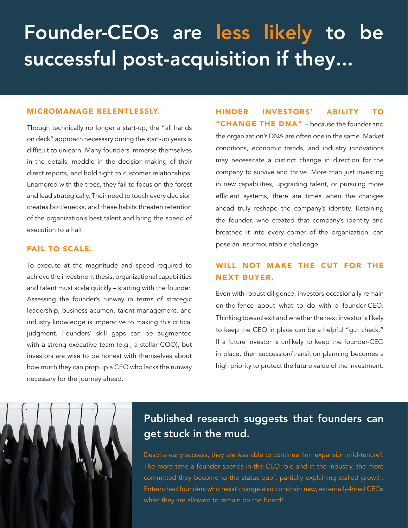# Founder-CEOs are less likely to be successful post-acquisition if they...

#### MICROMANAGE RELENTLESSLY.

Though technically no longer a start-up, the "all hands on deck" approach necessary during the start-up years is difficult to unlearn. Many founders immerse themselves in the details, meddle in the decision-making of their direct reports, and hold tight to customer relationships. Enamored with the trees, they fail to focus on the forest and lead strategically. Their need to touch every decision creates bottlenecks, and these habits threaten retention of the organization's best talent and bring the speed of execution to a halt.

#### FAIL TO SCALE.

To execute at the magnitude and speed required to achieve the investment thesis, organizational capabilities and talent must scale quickly – starting with the founder. Assessing the founder's runway in terms of strategic leadership, business acumen, talent management, and industry knowledge is imperative to making this critical judgment. Founders' skill gaps can be augmented with a strong executive team (e.g., a stellar COO), but investors are wise to be honest with themselves about how much they can prop up a CEO who lacks the runway necessary for the journey ahead.

HINDER INVESTORS' ABILITY TO "CHANGE THE DNA" – because the founder and the organization's DNA are often one in the same. Market conditions, economic trends, and industry innovations may necessitate a distinct change in direction for the company to survive and thrive. More than just investing in new capabilities, upgrading talent, or pursuing more efficient systems, there are times when the changes ahead truly reshape the company's identity. Retaining the founder, who created that company's identity and breathed it into every corner of the organization, can pose an insurmountable challenge.

### WILL NOT MAKE THE CUT FOR THE NEXT BUYER.

Even with robust diligence, investors occasionally remain on-the-fence about what to do with a founder-CEO. Thinking toward exit and whether the next investor is likely to keep the CEO in place can be a helpful "gut check." If a future investor is unlikely to keep the founder-CEO in place, then succession/transition planning becomes a high priority to protect the future value of the investment.



### Published research suggests that founders can get stuck in the mud.

Despite early success, they are less able to continue firm expansion mid-tenure<sup>2</sup>. The more time a founder spends in the CEO role and in the industry, the more committed they become to the status quo<sup>3</sup>, partially explaining stalled growth. Entrenched founders who resist change also constrain new, externally-hired CEOs when they are allowed to remain on the Board<sup>4</sup>.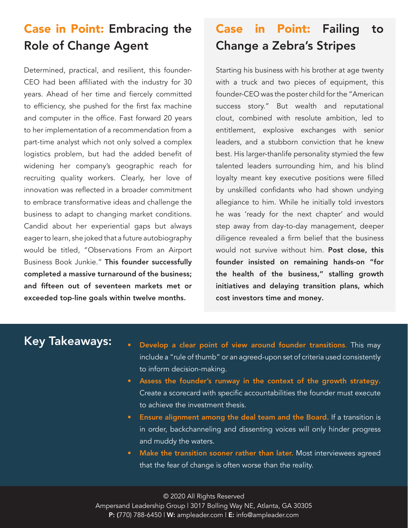## Case in Point: Embracing the Role of Change Agent

Determined, practical, and resilient, this founder-CEO had been affiliated with the industry for 30 years. Ahead of her time and fiercely committed to efficiency, she pushed for the first fax machine and computer in the office. Fast forward 20 years to her implementation of a recommendation from a part-time analyst which not only solved a complex logistics problem, but had the added benefit of widening her company's geographic reach for recruiting quality workers. Clearly, her love of innovation was reflected in a broader commitment to embrace transformative ideas and challenge the business to adapt to changing market conditions. Candid about her experiential gaps but always eager to learn, she joked that a future autobiography would be titled, "Observations From an Airport Business Book Junkie." This founder successfully completed a massive turnaround of the business; and fifteen out of seventeen markets met or exceeded top-line goals within twelve months.

## Case in Point: Failing to Change a Zebra's Stripes

Starting his business with his brother at age twenty with a truck and two pieces of equipment, this founder-CEO was the poster child for the "American success story." But wealth and reputational clout, combined with resolute ambition, led to entitlement, explosive exchanges with senior leaders, and a stubborn conviction that he knew best. His larger-thanlife personality stymied the few talented leaders surrounding him, and his blind loyalty meant key executive positions were filled by unskilled confidants who had shown undying allegiance to him. While he initially told investors he was 'ready for the next chapter' and would step away from day-to-day management, deeper diligence revealed a firm belief that the business would not survive without him. Post close, this founder insisted on remaining hands-on "for the health of the business," stalling growth initiatives and delaying transition plans, which cost investors time and money.

- Key Takeaways: Develop a clear point of view around founder transitions. This may include a "rule of thumb" or an agreed-upon set of criteria used consistently to inform decision-making.
	- Assess the founder's runway in the context of the growth strategy. Create a scorecard with specific accountabilities the founder must execute to achieve the investment thesis.
	- Ensure alignment among the deal team and the Board. If a transition is in order, backchanneling and dissenting voices will only hinder progress and muddy the waters.
	- Make the transition sooner rather than later. Most interviewees agreed that the fear of change is often worse than the reality.

© 2020 All Rights Reserved Ampersand Leadership Group | 3017 Bolling Way NE, Atlanta, GA 30305 P: (770) 788-6450 | W: ampleader.com | E: info@ampleader.com